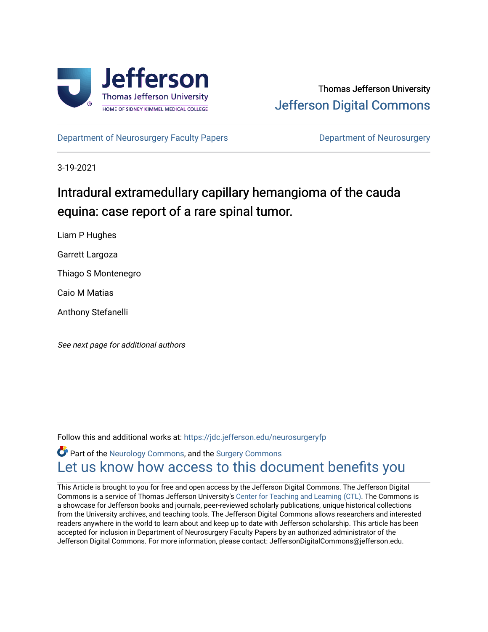

[Department of Neurosurgery Faculty Papers](https://jdc.jefferson.edu/neurosurgeryfp) **Department of Neurosurgery** 

3-19-2021

# Intradural extramedullary capillary hemangioma of the cauda equina: case report of a rare spinal tumor.

Liam P Hughes

Garrett Largoza

Thiago S Montenegro

Caio M Matias

Anthony Stefanelli

See next page for additional authors

Follow this and additional works at: [https://jdc.jefferson.edu/neurosurgeryfp](https://jdc.jefferson.edu/neurosurgeryfp?utm_source=jdc.jefferson.edu%2Fneurosurgeryfp%2F184&utm_medium=PDF&utm_campaign=PDFCoverPages)

**C** Part of the [Neurology Commons](http://network.bepress.com/hgg/discipline/692?utm_source=jdc.jefferson.edu%2Fneurosurgeryfp%2F184&utm_medium=PDF&utm_campaign=PDFCoverPages), and the Surgery Commons Let us know how access to this document benefits you

This Article is brought to you for free and open access by the Jefferson Digital Commons. The Jefferson Digital Commons is a service of Thomas Jefferson University's [Center for Teaching and Learning \(CTL\)](http://www.jefferson.edu/university/teaching-learning.html/). The Commons is a showcase for Jefferson books and journals, peer-reviewed scholarly publications, unique historical collections from the University archives, and teaching tools. The Jefferson Digital Commons allows researchers and interested readers anywhere in the world to learn about and keep up to date with Jefferson scholarship. This article has been accepted for inclusion in Department of Neurosurgery Faculty Papers by an authorized administrator of the Jefferson Digital Commons. For more information, please contact: JeffersonDigitalCommons@jefferson.edu.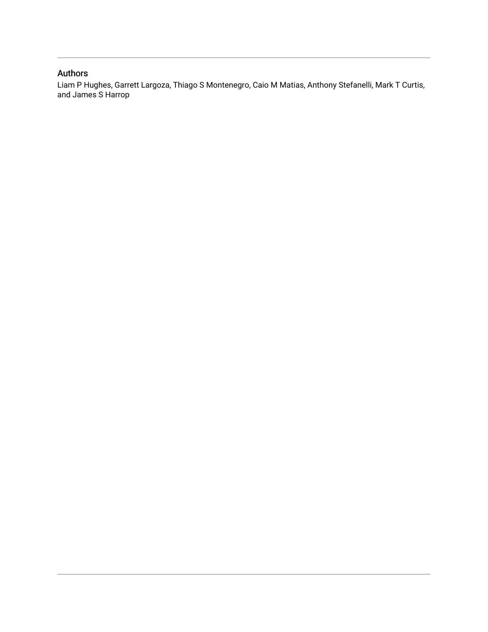## Authors

Liam P Hughes, Garrett Largoza, Thiago S Montenegro, Caio M Matias, Anthony Stefanelli, Mark T Curtis, and James S Harrop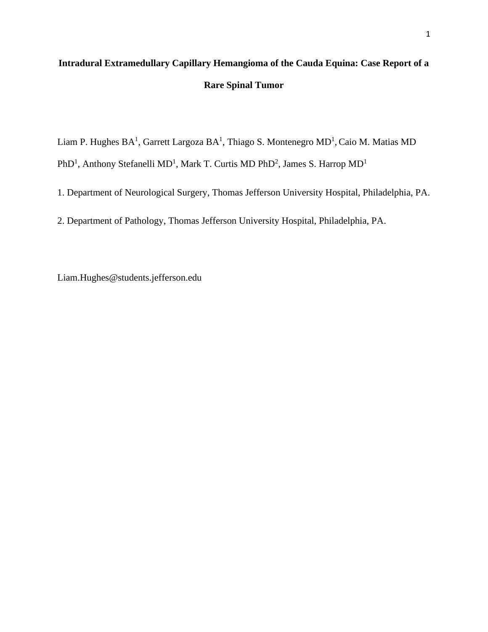# **Intradural Extramedullary Capillary Hemangioma of the Cauda Equina: Case Report of a Rare Spinal Tumor**

Liam P. Hughes  $BA^1$ , Garrett Largoza  $BA^1$ , Thiago S. Montenegro MD<sup>1</sup>, Caio M. Matias MD PhD<sup>1</sup>, Anthony Stefanelli MD<sup>1</sup>, Mark T. Curtis MD PhD<sup>2</sup>, James S. Harrop MD<sup>1</sup>

1. Department of Neurological Surgery, Thomas Jefferson University Hospital, Philadelphia, PA.

2. Department of Pathology, Thomas Jefferson University Hospital, Philadelphia, PA.

Liam.Hughes@students.jefferson.edu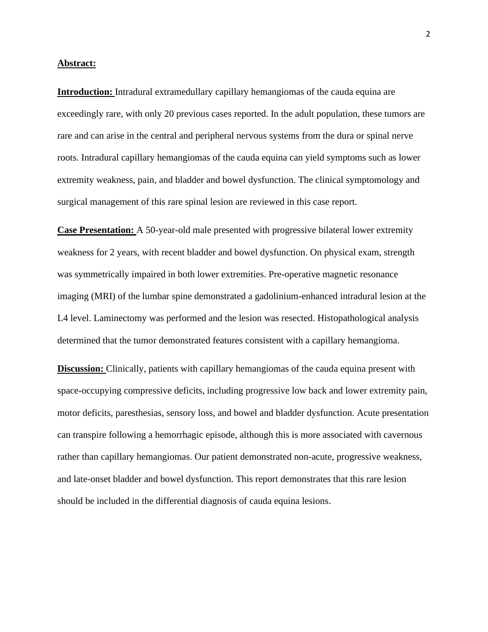#### **Abstract:**

**Introduction:** Intradural extramedullary capillary hemangiomas of the cauda equina are exceedingly rare, with only 20 previous cases reported. In the adult population, these tumors are rare and can arise in the central and peripheral nervous systems from the dura or spinal nerve roots. Intradural capillary hemangiomas of the cauda equina can yield symptoms such as lower extremity weakness, pain, and bladder and bowel dysfunction. The clinical symptomology and surgical management of this rare spinal lesion are reviewed in this case report.

**Case Presentation:** A 50-year-old male presented with progressive bilateral lower extremity weakness for 2 years, with recent bladder and bowel dysfunction. On physical exam, strength was symmetrically impaired in both lower extremities. Pre-operative magnetic resonance imaging (MRI) of the lumbar spine demonstrated a gadolinium-enhanced intradural lesion at the L4 level. Laminectomy was performed and the lesion was resected. Histopathological analysis determined that the tumor demonstrated features consistent with a capillary hemangioma.

**Discussion:** Clinically, patients with capillary hemangiomas of the cauda equina present with space-occupying compressive deficits, including progressive low back and lower extremity pain, motor deficits, paresthesias, sensory loss, and bowel and bladder dysfunction. Acute presentation can transpire following a hemorrhagic episode, although this is more associated with cavernous rather than capillary hemangiomas. Our patient demonstrated non-acute, progressive weakness, and late-onset bladder and bowel dysfunction. This report demonstrates that this rare lesion should be included in the differential diagnosis of cauda equina lesions.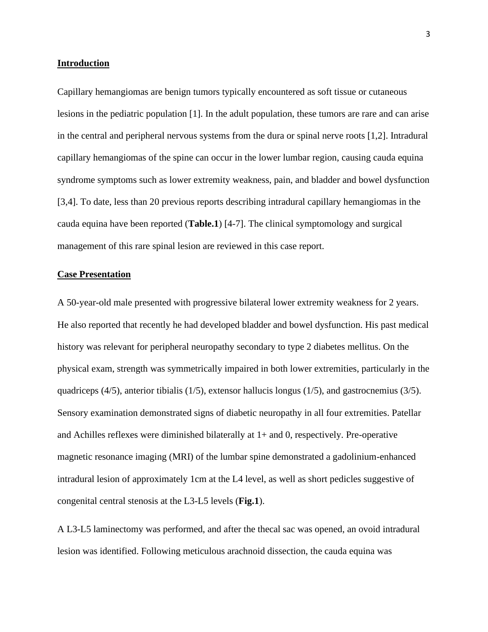#### **Introduction**

Capillary hemangiomas are benign tumors typically encountered as soft tissue or cutaneous lesions in the pediatric population [1]. In the adult population, these tumors are rare and can arise in the central and peripheral nervous systems from the dura or spinal nerve roots [1,2]. Intradural capillary hemangiomas of the spine can occur in the lower lumbar region, causing cauda equina syndrome symptoms such as lower extremity weakness, pain, and bladder and bowel dysfunction [3,4]. To date, less than 20 previous reports describing intradural capillary hemangiomas in the cauda equina have been reported (**Table.1**) [4-7]. The clinical symptomology and surgical management of this rare spinal lesion are reviewed in this case report.

### **Case Presentation**

A 50-year-old male presented with progressive bilateral lower extremity weakness for 2 years. He also reported that recently he had developed bladder and bowel dysfunction. His past medical history was relevant for peripheral neuropathy secondary to type 2 diabetes mellitus. On the physical exam, strength was symmetrically impaired in both lower extremities, particularly in the quadriceps (4/5), anterior tibialis (1/5), extensor hallucis longus (1/5), and gastrocnemius (3/5). Sensory examination demonstrated signs of diabetic neuropathy in all four extremities. Patellar and Achilles reflexes were diminished bilaterally at 1+ and 0, respectively. Pre-operative magnetic resonance imaging (MRI) of the lumbar spine demonstrated a gadolinium-enhanced intradural lesion of approximately 1cm at the L4 level, as well as short pedicles suggestive of congenital central stenosis at the L3-L5 levels (**Fig.1**).

A L3-L5 laminectomy was performed, and after the thecal sac was opened, an ovoid intradural lesion was identified. Following meticulous arachnoid dissection, the cauda equina was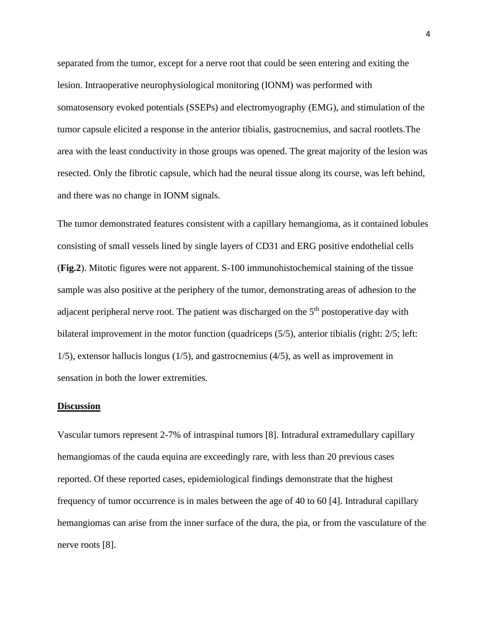separated from the tumor, except for a nerve root that could be seen entering and exiting the lesion. Intraoperative neurophysiological monitoring (IONM) was performed with somatosensory evoked potentials (SSEPs) and electromyography (EMG), and stimulation of the tumor capsule elicited a response in the anterior tibialis, gastrocnemius, and sacral rootlets.The area with the least conductivity in those groups was opened. The great majority of the lesion was resected. Only the fibrotic capsule, which had the neural tissue along its course, was left behind, and there was no change in IONM signals.

The tumor demonstrated features consistent with a capillary hemangioma, as it contained lobules consisting of small vessels lined by single layers of CD31 and ERG positive endothelial cells (**Fig.2**). Mitotic figures were not apparent. S-100 immunohistochemical staining of the tissue sample was also positive at the periphery of the tumor, demonstrating areas of adhesion to the adjacent peripheral nerve root. The patient was discharged on the  $5<sup>th</sup>$  postoperative day with bilateral improvement in the motor function (quadriceps (5/5), anterior tibialis (right: 2/5; left: 1/5), extensor hallucis longus (1/5), and gastrocnemius (4/5), as well as improvement in sensation in both the lower extremities.

#### **Discussion**

Vascular tumors represent 2-7% of intraspinal tumors [8]. Intradural extramedullary capillary hemangiomas of the cauda equina are exceedingly rare, with less than 20 previous cases reported. Of these reported cases, epidemiological findings demonstrate that the highest frequency of tumor occurrence is in males between the age of 40 to 60 [4]. Intradural capillary hemangiomas can arise from the inner surface of the dura, the pia, or from the vasculature of the nerve roots [8].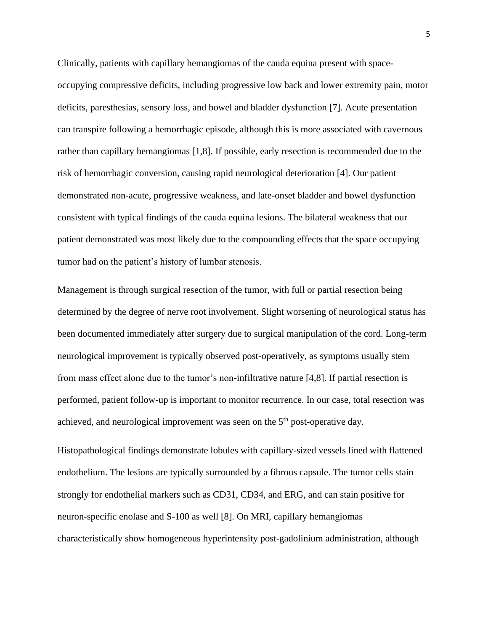Clinically, patients with capillary hemangiomas of the cauda equina present with spaceoccupying compressive deficits, including progressive low back and lower extremity pain, motor deficits, paresthesias, sensory loss, and bowel and bladder dysfunction [7]. Acute presentation can transpire following a hemorrhagic episode, although this is more associated with cavernous rather than capillary hemangiomas [1,8]. If possible, early resection is recommended due to the risk of hemorrhagic conversion, causing rapid neurological deterioration [4]. Our patient demonstrated non-acute, progressive weakness, and late-onset bladder and bowel dysfunction consistent with typical findings of the cauda equina lesions. The bilateral weakness that our patient demonstrated was most likely due to the compounding effects that the space occupying tumor had on the patient's history of lumbar stenosis.

Management is through surgical resection of the tumor, with full or partial resection being determined by the degree of nerve root involvement. Slight worsening of neurological status has been documented immediately after surgery due to surgical manipulation of the cord. Long-term neurological improvement is typically observed post-operatively, as symptoms usually stem from mass effect alone due to the tumor's non-infiltrative nature [4,8]. If partial resection is performed, patient follow-up is important to monitor recurrence. In our case, total resection was achieved, and neurological improvement was seen on the  $5<sup>th</sup>$  post-operative day.

Histopathological findings demonstrate lobules with capillary-sized vessels lined with flattened endothelium. The lesions are typically surrounded by a fibrous capsule. The tumor cells stain strongly for endothelial markers such as CD31, CD34, and ERG, and can stain positive for neuron-specific enolase and S-100 as well [8]. On MRI, capillary hemangiomas characteristically show homogeneous hyperintensity post-gadolinium administration, although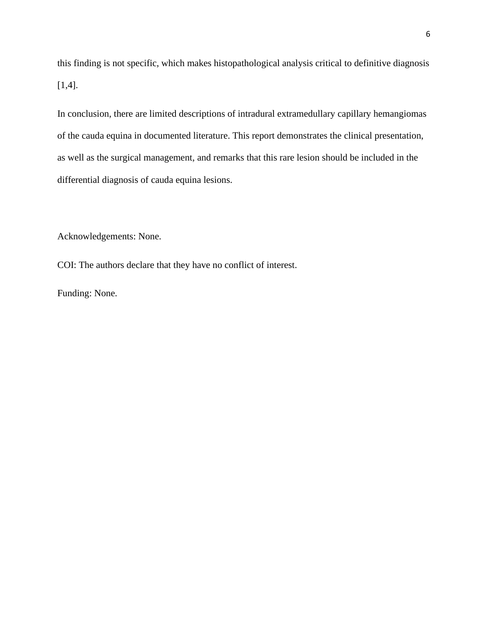this finding is not specific, which makes histopathological analysis critical to definitive diagnosis [1,4].

In conclusion, there are limited descriptions of intradural extramedullary capillary hemangiomas of the cauda equina in documented literature. This report demonstrates the clinical presentation, as well as the surgical management, and remarks that this rare lesion should be included in the differential diagnosis of cauda equina lesions.

Acknowledgements: None.

COI: The authors declare that they have no conflict of interest.

Funding: None.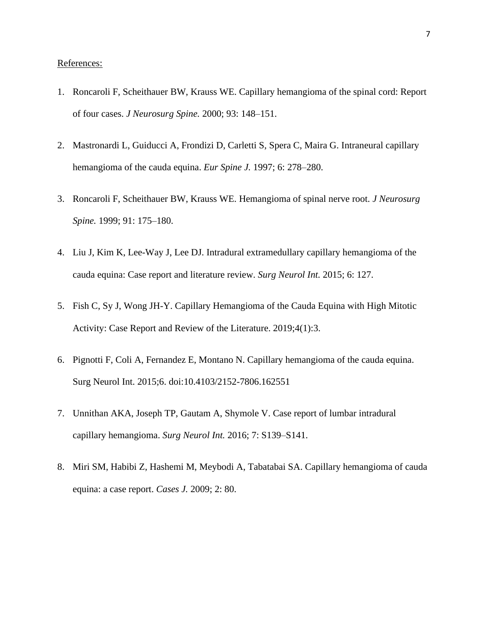### References:

- 1. Roncaroli F, Scheithauer BW, Krauss WE. Capillary hemangioma of the spinal cord: Report of four cases. *J Neurosurg Spine.* 2000; 93: 148–151.
- 2. Mastronardi L, Guiducci A, Frondizi D, Carletti S, Spera C, Maira G. Intraneural capillary hemangioma of the cauda equina. *Eur Spine J.* 1997; 6: 278–280.
- 3. Roncaroli F, Scheithauer BW, Krauss WE. Hemangioma of spinal nerve root. *J Neurosurg Spine.* 1999; 91: 175–180.
- 4. Liu J, Kim K, Lee-Way J, Lee DJ. Intradural extramedullary capillary hemangioma of the cauda equina: Case report and literature review. *Surg Neurol Int.* 2015; 6: 127.
- 5. Fish C, Sy J, Wong JH-Y. Capillary Hemangioma of the Cauda Equina with High Mitotic Activity: Case Report and Review of the Literature. 2019;4(1):3.
- 6. Pignotti F, Coli A, Fernandez E, Montano N. Capillary hemangioma of the cauda equina. Surg Neurol Int. 2015;6. doi:10.4103/2152-7806.162551
- 7. Unnithan AKA, Joseph TP, Gautam A, Shymole V. Case report of lumbar intradural capillary hemangioma. *Surg Neurol Int.* 2016; 7: S139–S141.
- 8. Miri SM, Habibi Z, Hashemi M, Meybodi A, Tabatabai SA. Capillary hemangioma of cauda equina: a case report. *Cases J.* 2009; 2: 80.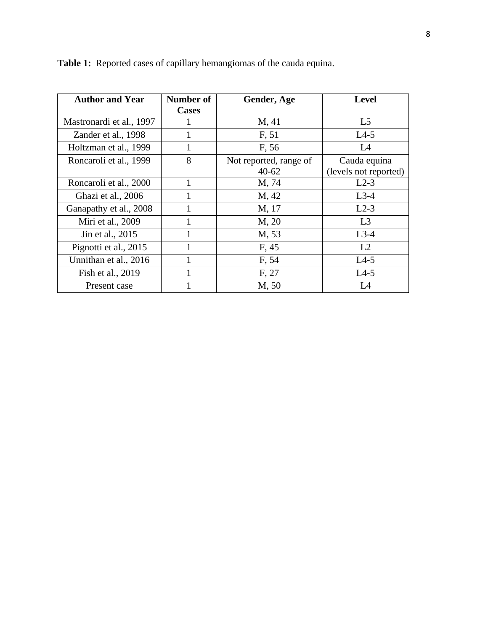| <b>Author and Year</b>   | <b>Number of</b> | Gender, Age            | <b>Level</b>          |
|--------------------------|------------------|------------------------|-----------------------|
|                          | <b>Cases</b>     |                        |                       |
| Mastronardi et al., 1997 |                  | M, 41                  | L <sub>5</sub>        |
| Zander et al., 1998      |                  | F, 51                  | $L4-5$                |
| Holtzman et al., 1999    |                  | F, 56                  | L4                    |
| Roncaroli et al., 1999   | 8                | Not reported, range of | Cauda equina          |
|                          |                  | $40 - 62$              | (levels not reported) |
| Roncaroli et al., 2000   | 1                | M, 74                  | $L2-3$                |
| Ghazi et al., 2006       |                  | M, 42                  | $L3-4$                |
| Ganapathy et al., 2008   |                  | M, 17                  | $L2-3$                |
| Miri et al., 2009        |                  | M, 20                  | L <sub>3</sub>        |
| Jin et al., 2015         |                  | M, 53                  | $L3-4$                |
| Pignotti et al., 2015    |                  | F, 45                  | L2                    |
| Unnithan et al., 2016    |                  | F, 54                  | $L4-5$                |
| Fish et al., 2019        |                  | F, 27                  | $L4-5$                |
| Present case             |                  | M, 50                  | L4                    |

**Table 1:** Reported cases of capillary hemangiomas of the cauda equina.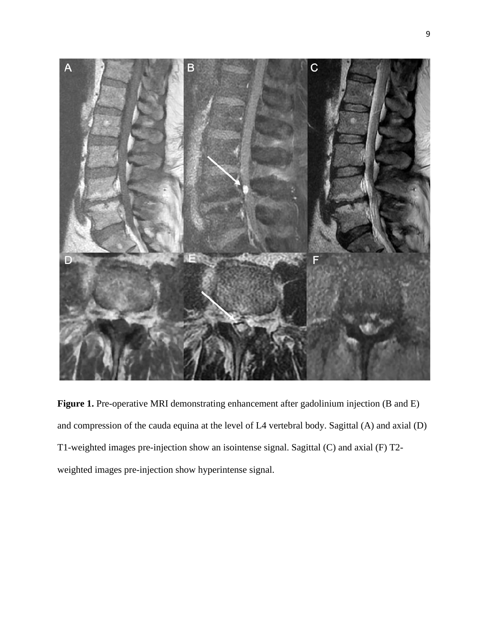

**Figure 1.** Pre-operative MRI demonstrating enhancement after gadolinium injection (B and E) and compression of the cauda equina at the level of L4 vertebral body. Sagittal (A) and axial (D) T1-weighted images pre-injection show an isointense signal. Sagittal (C) and axial (F) T2 weighted images pre-injection show hyperintense signal.